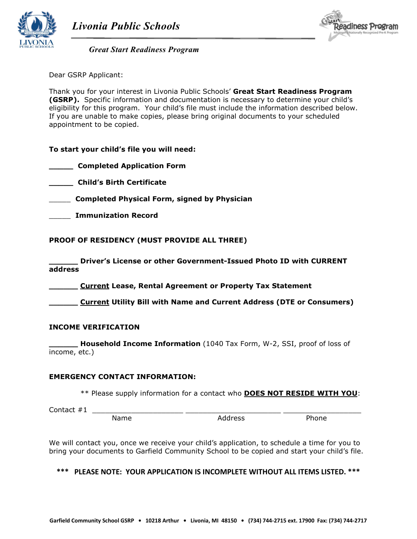



*Great Start Readiness Program* 

Dear GSRP Applicant:

 Thank you for your interest in Livonia Public Schools' **Great Start Readiness Program (GSRP).** Specific information and documentation is necessary to determine your child's eligibility for this program. Your child's file must include the information described below. If you are unable to make copies, please bring original documents to your scheduled appointment to be copied.

# **To start your child's file you will need:**

 **\_\_\_\_\_ Completed Application Form** 

 **\_\_\_\_\_ Child's Birth Certificate** 

\_\_\_\_\_ **Completed Physical Form, signed by Physician** 

\_\_\_\_\_ **Immunization Record** 

### **PROOF OF RESIDENCY (MUST PROVIDE ALL THREE)**

 **\_\_\_\_\_\_ Driver's License or other Government-Issued Photo ID with CURRENT address** 

 **\_\_\_\_\_\_ Current Lease, Rental Agreement or Property Tax Statement** 

 **\_\_\_\_\_\_ Current Utility Bill with Name and Current Address (DTE or Consumers)** 

### **INCOME VERIFICATION**

 **\_\_\_\_\_\_ Household Income Information** (1040 Tax Form, W-2, SSI, proof of loss of income, etc.)

### **EMERGENCY CONTACT INFORMATION:**

\*\* Please supply information for a contact who **DOES NOT RESIDE WITH YOU**:

 Contact #1 \_\_\_\_\_\_\_\_\_\_\_\_\_\_\_\_\_\_\_\_\_ \_\_\_\_\_\_\_\_\_\_\_\_\_\_\_\_\_\_\_\_\_\_ \_\_\_\_\_\_\_\_\_\_\_\_\_\_\_\_\_\_ Name **Address** Phone

 We will contact you, once we receive your child's application, to schedule a time for you to bring your documents to Garfield Community School to be copied and start your child's file.

 **\*\*\* PLEASE NOTE: YOUR APPLICATION IS INCOMPLETE WITHOUT ALL ITEMS LISTED. \*\*\***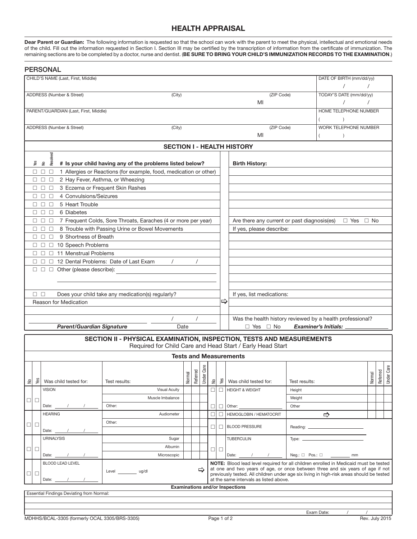# **HEALTH APPRAISAL**

**Dear Parent or Guardian:** The following information is requested so that the school can work with the parent to meet the physical, intellectual and emotional needs of the child. Fill out the information requested in Section I. Section III may be certifed by the transcription of information from the certifcate of immunization. The remaining sections are to be completed by a doctor, nurse and dentist. (**BE SURE TO BRING YOUR CHILD'S IMMUNIZATION RECORDS TO THE EXAMINATION**.)

| CHILD'S NAME (Last, First, Middle)<br>DATE OF BIRTH (mm/dd/yy)<br>ADDRESS (Number & Street)<br>(ZIP Code)<br>TODAY'S DATE (mm/dd/yy)<br>(City)<br>MI<br>PARENT/GUARDIAN (Last, First, Middle)<br>HOME TELEPHONE NUMBER<br>$\lambda$<br>(ZIP Code)<br>ADDRESS (Number & Street)<br>WORK TELEPHONE NUMBER<br>(City)<br>MI<br>$\lambda$<br><b>SECTION I - HEALTH HISTORY</b><br>yed<br>Resol <sup>®</sup><br>Say<br># Is your child having any of the problems listed below?<br>$\epsilon$<br><b>Birth History:</b><br>1 Allergies or Reactions (for example, food, medication or other)<br>$\Box$ $\Box$<br>$\Box$<br>2 Hay Fever, Asthma, or Wheezing<br>$\Box$ $\Box$<br>$\Box$<br>3 Eczema or Frequent Skin Rashes<br>$\square$ $\square$<br>$\Box$ |          |  |                  |  |  |  |  |  |
|------------------------------------------------------------------------------------------------------------------------------------------------------------------------------------------------------------------------------------------------------------------------------------------------------------------------------------------------------------------------------------------------------------------------------------------------------------------------------------------------------------------------------------------------------------------------------------------------------------------------------------------------------------------------------------------------------------------------------------------------------|----------|--|------------------|--|--|--|--|--|
|                                                                                                                                                                                                                                                                                                                                                                                                                                                                                                                                                                                                                                                                                                                                                      |          |  |                  |  |  |  |  |  |
|                                                                                                                                                                                                                                                                                                                                                                                                                                                                                                                                                                                                                                                                                                                                                      |          |  |                  |  |  |  |  |  |
|                                                                                                                                                                                                                                                                                                                                                                                                                                                                                                                                                                                                                                                                                                                                                      |          |  |                  |  |  |  |  |  |
|                                                                                                                                                                                                                                                                                                                                                                                                                                                                                                                                                                                                                                                                                                                                                      |          |  |                  |  |  |  |  |  |
|                                                                                                                                                                                                                                                                                                                                                                                                                                                                                                                                                                                                                                                                                                                                                      |          |  |                  |  |  |  |  |  |
|                                                                                                                                                                                                                                                                                                                                                                                                                                                                                                                                                                                                                                                                                                                                                      |          |  |                  |  |  |  |  |  |
|                                                                                                                                                                                                                                                                                                                                                                                                                                                                                                                                                                                                                                                                                                                                                      |          |  |                  |  |  |  |  |  |
|                                                                                                                                                                                                                                                                                                                                                                                                                                                                                                                                                                                                                                                                                                                                                      |          |  |                  |  |  |  |  |  |
|                                                                                                                                                                                                                                                                                                                                                                                                                                                                                                                                                                                                                                                                                                                                                      |          |  |                  |  |  |  |  |  |
|                                                                                                                                                                                                                                                                                                                                                                                                                                                                                                                                                                                                                                                                                                                                                      |          |  |                  |  |  |  |  |  |
|                                                                                                                                                                                                                                                                                                                                                                                                                                                                                                                                                                                                                                                                                                                                                      |          |  |                  |  |  |  |  |  |
|                                                                                                                                                                                                                                                                                                                                                                                                                                                                                                                                                                                                                                                                                                                                                      |          |  |                  |  |  |  |  |  |
|                                                                                                                                                                                                                                                                                                                                                                                                                                                                                                                                                                                                                                                                                                                                                      |          |  |                  |  |  |  |  |  |
| 4 Convulsions/Seizures<br>$\Box$<br>$\Box$ $\Box$                                                                                                                                                                                                                                                                                                                                                                                                                                                                                                                                                                                                                                                                                                    |          |  |                  |  |  |  |  |  |
| 5 Heart Trouble<br>$\Box$ $\Box$<br>$\Box$                                                                                                                                                                                                                                                                                                                                                                                                                                                                                                                                                                                                                                                                                                           |          |  |                  |  |  |  |  |  |
| $\Box$<br>6 Diabetes<br>$\Box$ $\Box$                                                                                                                                                                                                                                                                                                                                                                                                                                                                                                                                                                                                                                                                                                                |          |  |                  |  |  |  |  |  |
| 7 Frequent Colds, Sore Throats, Earaches (4 or more per year)<br>Are there any current or past diagnosis(es)<br>$\Box$ Yes $\Box$ No<br>$\Box$ $\Box$ $\Box$                                                                                                                                                                                                                                                                                                                                                                                                                                                                                                                                                                                         |          |  |                  |  |  |  |  |  |
| 8 Trouble with Passing Urine or Bowel Movements<br>If yes, please describe:<br>$\Box$ $\Box$<br>$\Box$                                                                                                                                                                                                                                                                                                                                                                                                                                                                                                                                                                                                                                               |          |  |                  |  |  |  |  |  |
| 9 Shortness of Breath<br>$\Box$<br>$\Box$ $\Box$                                                                                                                                                                                                                                                                                                                                                                                                                                                                                                                                                                                                                                                                                                     |          |  |                  |  |  |  |  |  |
| $\Box$ $\Box$ 10 Speech Problems                                                                                                                                                                                                                                                                                                                                                                                                                                                                                                                                                                                                                                                                                                                     |          |  |                  |  |  |  |  |  |
| □ 11 Menstrual Problems<br>$\Box$                                                                                                                                                                                                                                                                                                                                                                                                                                                                                                                                                                                                                                                                                                                    |          |  |                  |  |  |  |  |  |
| $\prime$<br>□ 12 Dental Problems: Date of Last Exam<br>□□                                                                                                                                                                                                                                                                                                                                                                                                                                                                                                                                                                                                                                                                                            |          |  |                  |  |  |  |  |  |
| □ □ ○ Other (please describe):                                                                                                                                                                                                                                                                                                                                                                                                                                                                                                                                                                                                                                                                                                                       |          |  |                  |  |  |  |  |  |
|                                                                                                                                                                                                                                                                                                                                                                                                                                                                                                                                                                                                                                                                                                                                                      |          |  |                  |  |  |  |  |  |
|                                                                                                                                                                                                                                                                                                                                                                                                                                                                                                                                                                                                                                                                                                                                                      |          |  |                  |  |  |  |  |  |
| $\Box$ $\Box$<br>Does your child take any medication(s) regularly?<br>If yes, list medications:<br>⇨<br>Reason for Medication                                                                                                                                                                                                                                                                                                                                                                                                                                                                                                                                                                                                                        |          |  |                  |  |  |  |  |  |
|                                                                                                                                                                                                                                                                                                                                                                                                                                                                                                                                                                                                                                                                                                                                                      |          |  |                  |  |  |  |  |  |
| $\prime$<br>$\prime$<br>Was the health history reviewed by a health professional?                                                                                                                                                                                                                                                                                                                                                                                                                                                                                                                                                                                                                                                                    |          |  |                  |  |  |  |  |  |
| <b>Parent/Guardian Signature</b><br>Date<br>$\Box$ Yes $\Box$ No<br><b>Examiner's Initials:</b>                                                                                                                                                                                                                                                                                                                                                                                                                                                                                                                                                                                                                                                      |          |  |                  |  |  |  |  |  |
|                                                                                                                                                                                                                                                                                                                                                                                                                                                                                                                                                                                                                                                                                                                                                      |          |  |                  |  |  |  |  |  |
| SECTION II - PHYSICAL EXAMINATION, INSPECTION, TESTS AND MEASUREMENTS<br>Required for Child Care and Head Start / Early Head Start                                                                                                                                                                                                                                                                                                                                                                                                                                                                                                                                                                                                                   |          |  |                  |  |  |  |  |  |
| <b>Tests and Measurements</b>                                                                                                                                                                                                                                                                                                                                                                                                                                                                                                                                                                                                                                                                                                                        |          |  |                  |  |  |  |  |  |
| உ                                                                                                                                                                                                                                                                                                                                                                                                                                                                                                                                                                                                                                                                                                                                                    |          |  | உ                |  |  |  |  |  |
| Referred                                                                                                                                                                                                                                                                                                                                                                                                                                                                                                                                                                                                                                                                                                                                             |          |  |                  |  |  |  |  |  |
| <b>Under Car</b><br>Normal<br>Normal<br>$\stackrel{\circ}{\simeq}$<br>yes<br>Š<br>$\geq$<br>Was child tested for:<br>Test results:<br>Was child tested for:<br>Test results:                                                                                                                                                                                                                                                                                                                                                                                                                                                                                                                                                                         | Referred |  | <b>Under Car</b> |  |  |  |  |  |
| <b>HEIGHT &amp; WEIGHT</b><br><b>VISION</b><br><b>Visual Acuity</b><br>□<br>Height<br>ПI                                                                                                                                                                                                                                                                                                                                                                                                                                                                                                                                                                                                                                                             |          |  |                  |  |  |  |  |  |
| Muscle Imbalance<br>Weight<br>$\Box$<br>$\Box$                                                                                                                                                                                                                                                                                                                                                                                                                                                                                                                                                                                                                                                                                                       |          |  |                  |  |  |  |  |  |
| Other<br>Other:<br>Other:<br>Date: $\_\_$<br>□<br>⊔                                                                                                                                                                                                                                                                                                                                                                                                                                                                                                                                                                                                                                                                                                  |          |  |                  |  |  |  |  |  |
| <b>HEARING</b><br><b>HEMOGLOBIN / HEMATOCRIT</b><br>$\Rightarrow$<br>Audiometer<br>□<br>□                                                                                                                                                                                                                                                                                                                                                                                                                                                                                                                                                                                                                                                            |          |  |                  |  |  |  |  |  |
| Other:<br>$\Box$<br>$\Box$<br><b>BLOOD PRESSURE</b><br>П<br>п                                                                                                                                                                                                                                                                                                                                                                                                                                                                                                                                                                                                                                                                                        |          |  |                  |  |  |  |  |  |
| Date:                                                                                                                                                                                                                                                                                                                                                                                                                                                                                                                                                                                                                                                                                                                                                |          |  |                  |  |  |  |  |  |
| <b>URINALYSIS</b><br><b>TUBERCULIN</b><br>Sugar<br>Type: $\_\_$                                                                                                                                                                                                                                                                                                                                                                                                                                                                                                                                                                                                                                                                                      |          |  |                  |  |  |  |  |  |
| Albumin<br>$\Box$<br>$\Box$<br>0 O                                                                                                                                                                                                                                                                                                                                                                                                                                                                                                                                                                                                                                                                                                                   |          |  |                  |  |  |  |  |  |
| Date: $\frac{1}{\sqrt{1-\frac{1}{2}}}\frac{1}{\sqrt{1-\frac{1}{2}}}\frac{1}{\sqrt{1-\frac{1}{2}}}\frac{1}{\sqrt{1-\frac{1}{2}}}\frac{1}{\sqrt{1-\frac{1}{2}}}\frac{1}{\sqrt{1-\frac{1}{2}}}\frac{1}{\sqrt{1-\frac{1}{2}}}\frac{1}{\sqrt{1-\frac{1}{2}}}\frac{1}{\sqrt{1-\frac{1}{2}}}\frac{1}{\sqrt{1-\frac{1}{2}}}\frac{1}{\sqrt{1-\frac{1}{2}}}\frac{1}{\sqrt{1-\frac{1}{2}}}\frac{1}{\sqrt{1-\frac{1}{2}}}\frac{1}{\$<br>$Neg.: \Box$ Pos.: $\Box$<br>Microscopic<br>Date: $\_\_$<br>mm                                                                                                                                                                                                                                                           |          |  |                  |  |  |  |  |  |
| <b>BLOOD LEAD LEVEL</b><br>NOTE: Blood lead level required for all children enrolled in Medicaid must be tested<br>at one and two years of age, or once between three and six years of age if not                                                                                                                                                                                                                                                                                                                                                                                                                                                                                                                                                    |          |  |                  |  |  |  |  |  |
| ⇨<br>Level __________ ug/dl<br>$\Box$<br>$\Box$<br>previously tested. All children under age six living in high-risk areas should be tested                                                                                                                                                                                                                                                                                                                                                                                                                                                                                                                                                                                                          |          |  |                  |  |  |  |  |  |
| at the same intervals as listed above.<br>Date:<br><b>Examinations and/or Inspections</b>                                                                                                                                                                                                                                                                                                                                                                                                                                                                                                                                                                                                                                                            |          |  |                  |  |  |  |  |  |

Essential Findings Deviating from Normal: